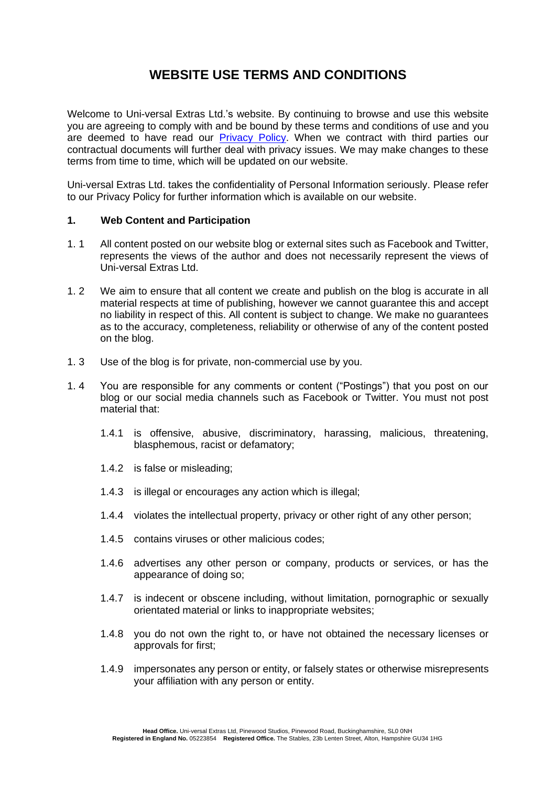## **WEBSITE USE TERMS AND CONDITIONS**

Welcome to Uni-versal Extras Ltd.'s website. By continuing to browse and use this website you are agreeing to comply with and be bound by these terms and conditions of use and you are deemed to have read our [Privacy Policy.](https://www.universalextras.co.uk/download_file/1526) When we contract with third parties our contractual documents will further deal with privacy issues. We may make changes to these terms from time to time, which will be updated on our website.

Uni-versal Extras Ltd. takes the confidentiality of Personal Information seriously. Please refer to our Privacy Policy for further information which is available on our website.

## **1. Web Content and Participation**

- 1. 1 All content posted on our website blog or external sites such as Facebook and Twitter, represents the views of the author and does not necessarily represent the views of Uni-versal Extras Ltd.
- 1. 2 We aim to ensure that all content we create and publish on the blog is accurate in all material respects at time of publishing, however we cannot guarantee this and accept no liability in respect of this. All content is subject to change. We make no guarantees as to the accuracy, completeness, reliability or otherwise of any of the content posted on the blog.
- 1. 3 Use of the blog is for private, non-commercial use by you.
- 1. 4 You are responsible for any comments or content ("Postings") that you post on our blog or our social media channels such as Facebook or Twitter. You must not post material that:
	- 1.4.1 is offensive, abusive, discriminatory, harassing, malicious, threatening, blasphemous, racist or defamatory;
	- 1.4.2 is false or misleading;
	- 1.4.3 is illegal or encourages any action which is illegal;
	- 1.4.4 violates the intellectual property, privacy or other right of any other person;
	- 1.4.5 contains viruses or other malicious codes;
	- 1.4.6 advertises any other person or company, products or services, or has the appearance of doing so;
	- 1.4.7 is indecent or obscene including, without limitation, pornographic or sexually orientated material or links to inappropriate websites;
	- 1.4.8 you do not own the right to, or have not obtained the necessary licenses or approvals for first;
	- 1.4.9 impersonates any person or entity, or falsely states or otherwise misrepresents your affiliation with any person or entity.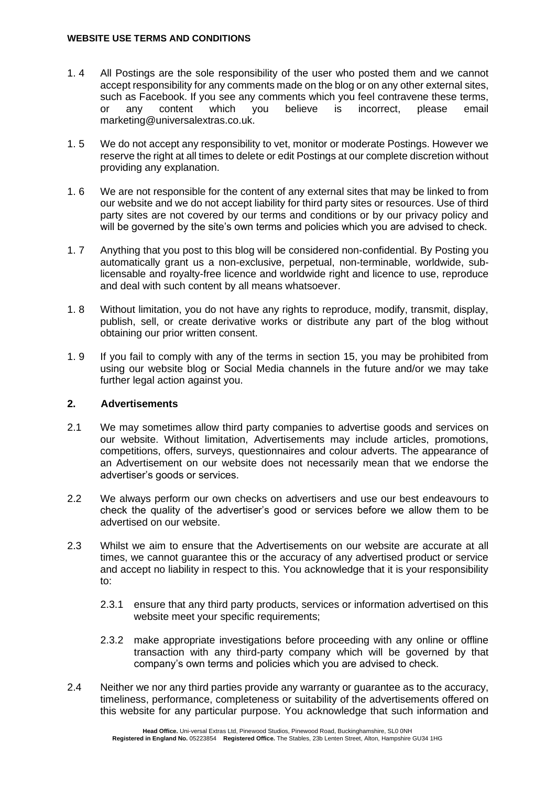- 1. 4 All Postings are the sole responsibility of the user who posted them and we cannot accept responsibility for any comments made on the blog or on any other external sites, such as Facebook. If you see any comments which you feel contravene these terms,<br>or any content which you believe is incorrect, please email or any content which you believe is incorrect, please email marketing@universalextras.co.uk.
- 1. 5 We do not accept any responsibility to vet, monitor or moderate Postings. However we reserve the right at all times to delete or edit Postings at our complete discretion without providing any explanation.
- 1. 6 We are not responsible for the content of any external sites that may be linked to from our website and we do not accept liability for third party sites or resources. Use of third party sites are not covered by our terms and conditions or by our privacy policy and will be governed by the site's own terms and policies which you are advised to check.
- 1. 7 Anything that you post to this blog will be considered non-confidential. By Posting you automatically grant us a non-exclusive, perpetual, non-terminable, worldwide, sublicensable and royalty-free licence and worldwide right and licence to use, reproduce and deal with such content by all means whatsoever.
- 1. 8 Without limitation, you do not have any rights to reproduce, modify, transmit, display, publish, sell, or create derivative works or distribute any part of the blog without obtaining our prior written consent.
- 1. 9 If you fail to comply with any of the terms in section 15, you may be prohibited from using our website blog or Social Media channels in the future and/or we may take further legal action against you.

## **2. Advertisements**

- 2.1 We may sometimes allow third party companies to advertise goods and services on our website. Without limitation, Advertisements may include articles, promotions, competitions, offers, surveys, questionnaires and colour adverts. The appearance of an Advertisement on our website does not necessarily mean that we endorse the advertiser's goods or services.
- 2.2 We always perform our own checks on advertisers and use our best endeavours to check the quality of the advertiser's good or services before we allow them to be advertised on our website.
- 2.3 Whilst we aim to ensure that the Advertisements on our website are accurate at all times, we cannot guarantee this or the accuracy of any advertised product or service and accept no liability in respect to this. You acknowledge that it is your responsibility to:
	- 2.3.1 ensure that any third party products, services or information advertised on this website meet your specific requirements;
	- 2.3.2 make appropriate investigations before proceeding with any online or offline transaction with any third-party company which will be governed by that company's own terms and policies which you are advised to check.
- 2.4 Neither we nor any third parties provide any warranty or guarantee as to the accuracy, timeliness, performance, completeness or suitability of the advertisements offered on this website for any particular purpose. You acknowledge that such information and